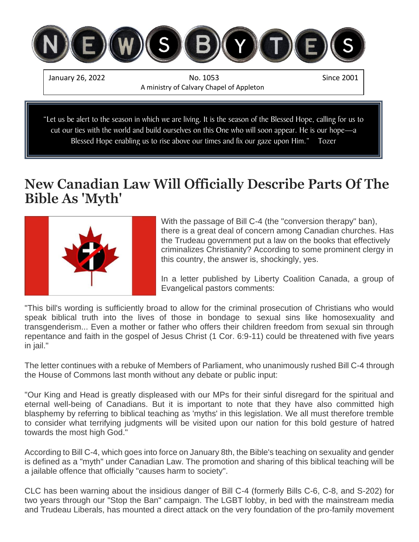

### Blessed Hope enabling us to rise above our times and fix our gaze upon Him." Tozer

# **New Canadian Law Will Officially Describe Parts Of The Bible As 'Myth'**



With the passage of Bill C-4 (the "conversion therapy" ban), there is a great deal of concern among Canadian churches. Has the Trudeau government put a law on the books that effectively criminalizes Christianity? According to some prominent clergy in this country, the answer is, shockingly, yes.

In a letter published by Liberty Coalition Canada, a group of Evangelical pastors comments:

"This bill's wording is sufficiently broad to allow for the criminal prosecution of Christians who would speak biblical truth into the lives of those in bondage to sexual sins like homosexuality and transgenderism... Even a mother or father who offers their children freedom from sexual sin through repentance and faith in the gospel of Jesus Christ (1 Cor. 6:9-11) could be threatened with five years in jail."

The letter continues with a rebuke of Members of Parliament, who unanimously rushed Bill C-4 through the House of Commons last month without any debate or public input:

"Our King and Head is greatly displeased with our MPs for their sinful disregard for the spiritual and eternal well-being of Canadians. But it is important to note that they have also committed high blasphemy by referring to biblical teaching as 'myths' in this legislation. We all must therefore tremble to consider what terrifying judgments will be visited upon our nation for this bold gesture of hatred towards the most high God."

According to Bill C-4, which goes into force on January 8th, the Bible's teaching on sexuality and gender is defined as a "myth" under Canadian Law. The promotion and sharing of this biblical teaching will be a jailable offence that officially "causes harm to society".

CLC has been warning about the insidious danger of Bill C-4 (formerly Bills C-6, C-8, and S-202) for two years through our "Stop the Ban" campaign. The LGBT lobby, in bed with the mainstream media and Trudeau Liberals, has mounted a direct attack on the very foundation of the pro-family movement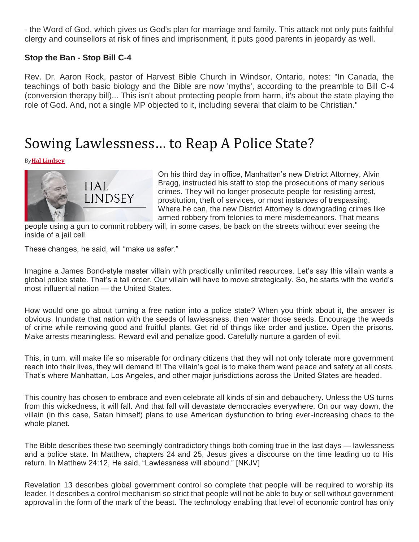- the Word of God, which gives us God's plan for marriage and family. This attack not only puts faithful clergy and counsellors at risk of fines and imprisonment, it puts good parents in jeopardy as well.

#### **Stop the Ban - Stop Bill C-4**

Rev. Dr. Aaron Rock, pastor of Harvest Bible Church in Windsor, Ontario, notes: "In Canada, the teachings of both basic biology and the Bible are now 'myths', according to the preamble to Bill C-4 (conversion therapy bill)... This isn't about protecting people from harm, it's about the state playing the role of God. And, not a single MP objected to it, including several that claim to be Christian."

# Sowing Lawlessness… to Reap A Police State?

By**[Hal Lindsey](https://harbingersdaily.com/author/hallindsey/)**



On his third day in office, Manhattan's new District Attorney, Alvin Bragg, instructed his staff to stop the prosecutions of many serious crimes. They will no longer prosecute people for resisting arrest, prostitution, theft of services, or most instances of trespassing. Where he can, the new District Attorney is downgrading crimes like armed robbery from felonies to mere misdemeanors. That means

people using a gun to commit robbery will, in some cases, be back on the streets without ever seeing the inside of a jail cell.

These changes, he said, will "make us safer."

Imagine a James Bond-style master villain with practically unlimited resources. Let's say this villain wants a global police state. That's a tall order. Our villain will have to move strategically. So, he starts with the world's most influential nation — the United States.

How would one go about turning a free nation into a police state? When you think about it, the answer is obvious. Inundate that nation with the seeds of lawlessness, then water those seeds. Encourage the weeds of crime while removing good and fruitful plants. Get rid of things like order and justice. Open the prisons. Make arrests meaningless. Reward evil and penalize good. Carefully nurture a garden of evil.

This, in turn, will make life so miserable for ordinary citizens that they will not only tolerate more government reach into their lives, they will demand it! The villain's goal is to make them want peace and safety at all costs. That's where Manhattan, Los Angeles, and other major jurisdictions across the United States are headed.

This country has chosen to embrace and even celebrate all kinds of sin and debauchery. Unless the US turns from this wickedness, it will fall. And that fall will devastate democracies everywhere. On our way down, the villain (in this case, Satan himself) plans to use American dysfunction to bring ever-increasing chaos to the whole planet.

The Bible describes these two seemingly contradictory things both coming true in the last days — lawlessness and a police state. In Matthew, chapters 24 and 25, Jesus gives a discourse on the time leading up to His return. In Matthew 24:12, He said, "Lawlessness will abound." [NKJV]

Revelation 13 describes global government control so complete that people will be required to worship its leader. It describes a control mechanism so strict that people will not be able to buy or sell without government approval in the form of the mark of the beast. The technology enabling that level of economic control has only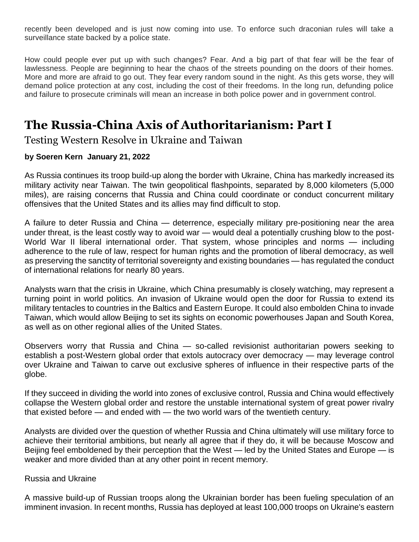recently been developed and is just now coming into use. To enforce such draconian rules will take a surveillance state backed by a police state.

How could people ever put up with such changes? Fear. And a big part of that fear will be the fear of lawlessness. People are beginning to hear the chaos of the streets pounding on the doors of their homes. More and more are afraid to go out. They fear every random sound in the night. As this gets worse, they will demand police protection at any cost, including the cost of their freedoms. In the long run, defunding police and failure to prosecute criminals will mean an increase in both police power and in government control.

## **The Russia-China Axis of Authoritarianism: Part I**

Testing Western Resolve in Ukraine and Taiwan

### **by [Soeren Kern](https://www.gatestoneinstitute.org/author/Soeren+Kern) January 21, 2022**

As Russia continues its troop build-up along the border with Ukraine, China has markedly increased its military activity near Taiwan. The twin geopolitical flashpoints, separated by 8,000 kilometers (5,000 miles), are raising concerns that Russia and China could coordinate or conduct concurrent military offensives that the United States and its allies may find difficult to stop.

A failure to deter Russia and China — deterrence, especially military pre-positioning near the area under threat, is the least costly way to avoid war — would deal a potentially crushing blow to the post-World War II liberal international order. That system, whose principles and norms — including adherence to the rule of law, respect for human rights and the promotion of liberal democracy, as well as preserving the sanctity of territorial sovereignty and existing boundaries — has regulated the conduct of international relations for nearly 80 years.

Analysts warn that the crisis in Ukraine, which China presumably is closely watching, may represent a turning point in world politics. An invasion of Ukraine would open the door for Russia to extend its military tentacles to countries in the Baltics and Eastern Europe. It could also embolden China to invade Taiwan, which would allow Beijing to set its sights on economic powerhouses Japan and South Korea, as well as on other regional allies of the United States.

Observers worry that Russia and China — so-called revisionist authoritarian powers seeking to establish a post-Western global order that extols autocracy over democracy — may leverage control over Ukraine and Taiwan to carve out exclusive spheres of influence in their respective parts of the globe.

If they succeed in dividing the world into zones of exclusive control, Russia and China would effectively collapse the Western global order and restore the unstable international system of great power rivalry that existed before — and ended with — the two world wars of the twentieth century.

Analysts are divided over the question of whether Russia and China ultimately will use military force to achieve their territorial ambitions, but nearly all agree that if they do, it will be because Moscow and Beijing feel emboldened by their perception that the West — led by the United States and Europe — is weaker and more divided than at any other point in recent memory.

#### Russia and Ukraine

A massive build-up of Russian troops along the Ukrainian border has been fueling speculation of an imminent invasion. In recent months, Russia has deployed at least 100,000 troops on Ukraine's eastern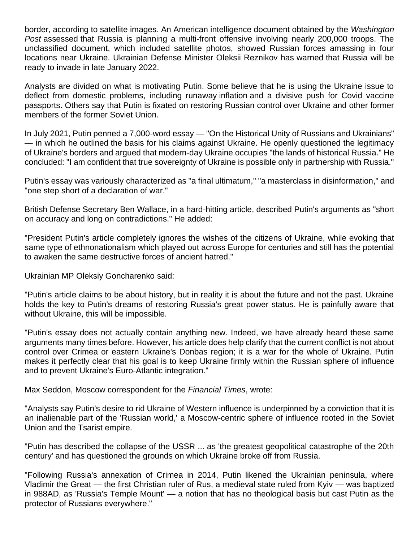border, [according](https://www.wsj.com/articles/russias-military-buildup-near-ukraine-is-an-open-secret-11641292202) to satellite images. An American intelligence document obtained by the *Washington Post* [assessed](https://www.washingtonpost.com/national-security/russia-ukraine-invasion/2021/12/03/98a3760e-546b-11ec-8769-2f4ecdf7a2ad_story.html) that Russia is planning a multi-front offensive involving nearly 200,000 troops. The unclassified document, which included satellite photos, showed Russian forces amassing in four locations near Ukraine. Ukrainian Defense Minister Oleksii Reznikov has [warned](https://www.reuters.com/world/europe/large-scale-russian-offensive-possible-january-ukraine-says-2021-12-03/) that Russia will be ready to invade in late January 2022.

Analysts are divided on what is motivating Putin. Some believe that he is using the Ukraine issue to deflect from domestic problems, including runaway [inflation](https://www.themoscowtimes.com/2021/12/17/russia-sharply-hikes-rates-in-desperate-battle-with-inflation-a75852) and a divisive push for Covid vaccine passports. Others say that Putin is [fixated](http://en.kremlin.ru/events/president/news/66181) on restoring Russian control over Ukraine and other former members of the former Soviet Union.

In July 2021, Putin penned a 7,000-word essay — "On the Historical Unity of Russians and Ukrainians" — in which he [outlined](http://en.kremlin.ru/events/president/news/66181) the basis for his claims against Ukraine. He openly questioned the legitimacy of Ukraine's borders and argued that modern-day Ukraine occupies "the lands of historical Russia." He concluded: "I am confident that true sovereignty of Ukraine is possible only in partnership with Russia."

Putin's essay was variously [characterized](https://www.atlanticcouncil.org/blogs/ukrainealert/putins-new-ukraine-essay-reflects-imperial-ambitions/) as ["a final ultimatum,](https://twitter.com/BBCSteveR/status/1415213223779913733)" ["a masterclass in disinformation,](https://www.project-syndicate.org/commentary/putin-denial-of-ukrainian-independence-could-lead-to-war-by-anders-aslund-2021-07)" and "one step [short of a declaration of war.](https://www.project-syndicate.org/commentary/putin-denial-of-ukrainian-independence-could-lead-to-war-by-anders-aslund-2021-07)"

British Defense Secretary Ben Wallace, in a hard-hitting article, [described](https://www.gov.uk/government/news/an-article-by-the-defence-secretary-on-the-situation-in-ukraine) Putin's arguments as "short on accuracy and long on contradictions." He [added:](https://www.gov.uk/government/news/an-article-by-the-defence-secretary-on-the-situation-in-ukraine)

"President Putin's article completely ignores the wishes of the citizens of Ukraine, while evoking that same type of ethnonationalism which played out across Europe for centuries and still has the potential to awaken the same destructive forces of ancient hatred."

Ukrainian MP Oleksiy Goncharenko [said:](https://www.atlanticcouncil.org/blogs/ukrainealert/putins-new-ukraine-essay-reflects-imperial-ambitions/)

"Putin's article claims to be about history, but in reality it is about the future and not the past. Ukraine holds the key to Putin's dreams of restoring Russia's great power status. He is painfully aware that without Ukraine, this will be impossible.

"Putin's essay does not actually contain anything new. Indeed, we have already heard these same arguments many times before. However, his article does help clarify that the current conflict is not about control over Crimea or eastern Ukraine's Donbas region; it is a war for the whole of Ukraine. Putin makes it perfectly clear that his goal is to keep Ukraine firmly within the Russian sphere of influence and to prevent Ukraine's Euro-Atlantic integration."

Max Seddon, Moscow correspondent for the *Financial Times*, [wrote:](https://www.ft.com/content/f0061a68-82be-415c-bf33-b2f4c6bd2496)

"Analysts say Putin's desire to rid Ukraine of Western influence is underpinned by a conviction that it is an inalienable part of the 'Russian world,' a Moscow-centric sphere of influence rooted in the Soviet Union and the Tsarist empire.

"Putin has described the collapse of the USSR ... as 'the greatest geopolitical catastrophe of the 20th century' and has questioned the grounds on which Ukraine broke off from Russia.

"Following Russia's annexation of Crimea in 2014, Putin likened the Ukrainian peninsula, where Vladimir the Great — the first Christian ruler of Rus, a medieval state ruled from Kyiv — was baptized in 988AD, as 'Russia's Temple Mount' — a notion that has no theological basis but cast Putin as the protector of Russians everywhere."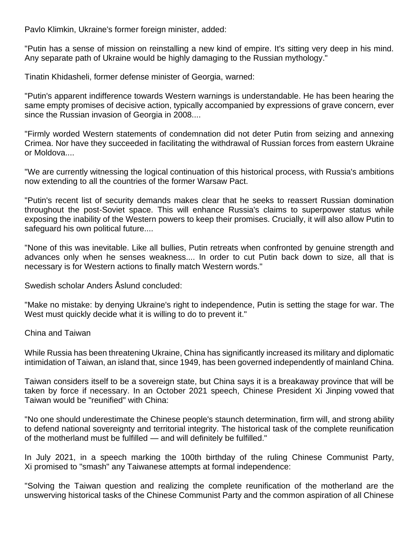Pavlo Klimkin, Ukraine's former foreign minister, [added:](https://www.ft.com/content/f0061a68-82be-415c-bf33-b2f4c6bd2496)

"Putin has a sense of mission on reinstalling a new kind of empire. It's sitting very deep in his mind. Any separate path of Ukraine would be highly damaging to the Russian mythology."

Tinatin Khidasheli, former defense minister of Georgia, [warned:](https://www.atlanticcouncil.org/blogs/ukrainealert/western-weakness-has-emboldened-putin-and-enabled-russian-aggression/)

"Putin's apparent indifference towards Western warnings is understandable. He has been hearing the same empty promises of decisive action, typically accompanied by expressions of grave concern, ever since the Russian invasion of Georgia in 2008....

"Firmly worded Western statements of condemnation did not deter Putin from seizing and annexing Crimea. Nor have they succeeded in facilitating the withdrawal of Russian forces from eastern Ukraine or Moldova....

"We are currently witnessing the logical continuation of this historical process, with Russia's ambitions now extending to all the countries of the former Warsaw Pact.

"Putin's recent list of security demands makes clear that he seeks to reassert Russian domination throughout the post-Soviet space. This will enhance Russia's claims to superpower status while exposing the inability of the Western powers to keep their promises. Crucially, it will also allow Putin to safeguard his own political future....

"None of this was inevitable. Like all bullies, Putin retreats when confronted by genuine strength and advances only when he senses weakness.... In order to cut Putin back down to size, all that is necessary is for Western actions to finally match Western words."

Swedish scholar Anders Åslund [concluded:](https://www.project-syndicate.org/commentary/putin-denial-of-ukrainian-independence-could-lead-to-war-by-anders-aslund-2021-07)

"Make no mistake: by denying Ukraine's right to independence, Putin is setting the stage for war. The West must quickly decide what it is willing to do to prevent it."

China and Taiwan

While Russia has been threatening Ukraine, China has significantly increased its military and diplomatic intimidation of Taiwan, an island that, since 1949, has been governed independently of mainland China.

Taiwan considers itself to be a sovereign state, but China says it is a breakaway province that will be taken by force if necessary. In an October 2021 speech, Chinese President Xi Jinping [vowed](https://www.reuters.com/world/china/chinas-xi-says-reunification-with-taiwan-must-will-be-realised-2021-10-09/) that Taiwan would be "reunified" with China:

"No one should underestimate the Chinese people's staunch determination, firm will, and strong ability to defend national sovereignty and territorial integrity. The historical task of the complete reunification of the motherland must be fulfilled — and will definitely be fulfilled."

In July 2021, in a speech marking the 100th birthday of the ruling Chinese Communist Party, Xi [promised](https://www.reuters.com/world/china/chinas-xi-pledges-reunification-with-taiwan-partys-birthday-2021-07-01/) to "smash" any Taiwanese attempts at formal independence:

"Solving the Taiwan question and realizing the complete reunification of the motherland are the unswerving historical tasks of the Chinese Communist Party and the common aspiration of all Chinese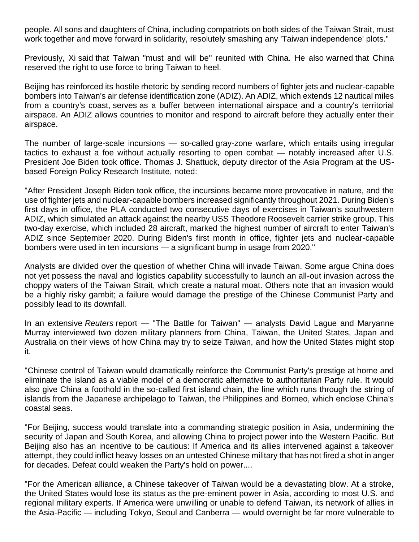people. All sons and daughters of China, including compatriots on both sides of the Taiwan Strait, must work together and move forward in solidarity, resolutely smashing any 'Taiwan independence' plots."

Previously, Xi [said](https://www.bbc.com/news/world-asia-china-46733174) that Taiwan "must and will be" reunited with China. He also [warned](https://www.bbc.com/news/world-asia-china-46733174) that China reserved the right to use force to bring Taiwan to heel.

Beijing has reinforced its hostile rhetoric by sending record numbers of fighter jets and nuclear-capable bombers into Taiwan's air defense identification zone (ADIZ). An ADIZ, which extends 12 nautical miles from a country's coast, [serves](https://www.jstor.org/stable/resrep26130.6?seq=1#metadata_info_tab_contents) as a buffer between international airspace and a country's territorial airspace. An ADIZ allows countries to monitor and respond to aircraft before they actually enter their airspace.

The number of large-scale incursions — so-called [gray-zone warfare,](https://www.reuters.com/investigates/special-report/hongkong-taiwan-military/) which entails using irregular tactics to exhaust a foe without actually resorting to open combat — notably increased after U.S. President Joe Biden took office. Thomas J. Shattuck, deputy director of the Asia Program at the USbased Foreign Policy Research Institute, [noted:](https://globaltaiwan.org/2021/10/vol-6-issue-20/?mc_cid=f3c668ee20&mc_eid=39b0511b94#ThomasShattuck10202021)

"After President Joseph Biden took office, the incursions became more provocative in nature, and the use of fighter jets and nuclear-capable bombers increased significantly throughout 2021. During Biden's first days in office, the PLA conducted two consecutive days of exercises in Taiwan's southwestern ADIZ, which simulated an attack against the nearby USS Theodore Roosevelt carrier strike group. This two-day exercise, which included 28 aircraft, marked the highest number of aircraft to enter Taiwan's ADIZ since September 2020. During Biden's first month in office, fighter jets and nuclear-capable bombers were used in ten incursions — a significant bump in usage from 2020."

Analysts are divided over the question of whether China will invade Taiwan. Some argue China does not yet possess the naval and logistics capability successfully to launch an all-out invasion across the choppy waters of the Taiwan Strait, which create a natural moat. Others note that an invasion would be a highly risky gambit; a failure would damage the prestige of the Chinese Communist Party and possibly lead to its downfall.

In an extensive *Reuters* report — ["The Battle for Taiwan"](https://www.reuters.com/investigates/special-report/taiwan-china-wargames) — analysts David Lague and Maryanne Murray interviewed two dozen military planners from China, Taiwan, the United States, Japan and Australia on their views of how China may try to seize Taiwan, and how the United States might stop it.

"Chinese control of Taiwan would dramatically reinforce the Communist Party's prestige at home and eliminate the island as a viable model of a democratic alternative to authoritarian Party rule. It would also give China a foothold in the so-called first island chain, the line which runs through the string of islands from the Japanese archipelago to Taiwan, the Philippines and Borneo, which enclose China's coastal seas.

"For Beijing, success would translate into a commanding strategic position in Asia, undermining the security of Japan and South Korea, and allowing China to project power into the Western Pacific. But Beijing also has an incentive to be cautious: If America and its allies intervened against a takeover attempt, they could inflict heavy losses on an untested Chinese military that has not fired a shot in anger for decades. Defeat could weaken the Party's hold on power....

"For the American alliance, a Chinese takeover of Taiwan would be a devastating blow. At a stroke, the United States would lose its status as the pre-eminent power in Asia, according to most U.S. and regional military experts. If America were unwilling or unable to defend Taiwan, its network of allies in the Asia-Pacific — including Tokyo, Seoul and Canberra — would overnight be far more vulnerable to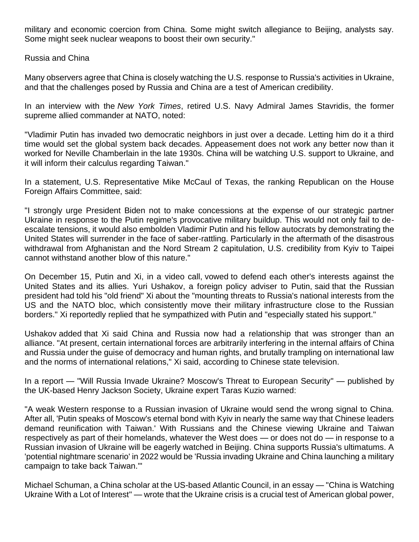military and economic coercion from China. Some might switch allegiance to Beijing, analysts say. Some might seek nuclear weapons to boost their own security."

Russia and China

Many observers agree that China is closely watching the U.S. response to Russia's activities in Ukraine, and that the challenges posed by Russia and China are a test of American credibility.

In an interview with the *New York Times*, retired U.S. Navy Admiral James Stavridis, the former supreme allied commander at NATO, [noted:](https://www.nytimes.com/2021/12/16/us/politics/biden-russia-ukraine.html)

"Vladimir Putin has invaded two democratic neighbors in just over a decade. Letting him do it a third time would set the global system back decades. Appeasement does not work any better now than it worked for Neville Chamberlain in the late 1930s. China will be watching U.S. support to Ukraine, and it will inform their calculus regarding Taiwan."

In a statement, U.S. Representative Mike McCaul of Texas, the ranking Republican on the House Foreign Affairs Committee, [said:](https://gop-foreignaffairs.house.gov/press-release/mccaul-urges-biden-to-stand-with-ukraine-in-upcoming-call-with-putin/)

"I strongly urge President Biden not to make concessions at the expense of our strategic partner Ukraine in response to the Putin regime's provocative military buildup. This would not only fail to deescalate tensions, it would also embolden Vladimir Putin and his fellow autocrats by demonstrating the United States will surrender in the face of saber-rattling. Particularly in the aftermath of the disastrous withdrawal from Afghanistan and the Nord Stream 2 capitulation, U.S. credibility from Kyiv to Taipei cannot withstand another blow of this nature."

On December 15, Putin and Xi, in a video call, [vowed](https://www.theaustralian.com.au/world/the-times/putin-xi-in-axis-against-nato-meddling/news-story/1ffb14e2ad3f8d8ccec877f9838d1553) to defend each other's interests against the United States and its allies. Yuri Ushakov, a foreign policy adviser to Putin, [said](https://www.theaustralian.com.au/world/the-times/putin-xi-in-axis-against-nato-meddling/news-story/1ffb14e2ad3f8d8ccec877f9838d1553) that the Russian president had told his "old friend" Xi about the "mounting threats to Russia's national interests from the US and the NATO bloc, which consistently move their military infrastructure close to the Russian borders." Xi reportedly [replied](https://www.theaustralian.com.au/world/the-times/putin-xi-in-axis-against-nato-meddling/news-story/1ffb14e2ad3f8d8ccec877f9838d1553) that he sympathized with Putin and "especially stated his support."

Ushakov [added](https://www.theaustralian.com.au/world/the-times/putin-xi-in-axis-against-nato-meddling/news-story/1ffb14e2ad3f8d8ccec877f9838d1553) that Xi said China and Russia now had a relationship that was stronger than an alliance. "At present, certain international forces are arbitrarily interfering in the internal affairs of China and Russia under the guise of democracy and human rights, and brutally trampling on international law and the norms of international relations," Xi said, [according](https://www.theaustralian.com.au/world/the-times/putin-xi-in-axis-against-nato-meddling/news-story/1ffb14e2ad3f8d8ccec877f9838d1553) to Chinese state television.

In a report — ["Will Russia Invade Ukraine? Moscow's Threat to European Security"](https://henryjacksonsociety.org/wp-content/uploads/2022/01/Kuzio_Ukraine_final.pdf) — published by the UK-based Henry Jackson Society, Ukraine expert Taras Kuzio [warned:](https://henryjacksonsociety.org/wp-content/uploads/2022/01/Kuzio_Ukraine_final.pdf)

"A weak Western response to a Russian invasion of Ukraine would send the wrong signal to China. After all, 'Putin speaks of Moscow's eternal bond with Kyiv in nearly the same way that Chinese leaders demand reunification with Taiwan.' With Russians and the Chinese viewing Ukraine and Taiwan respectively as part of their homelands, whatever the West does — or does not do — in response to a Russian invasion of Ukraine will be eagerly watched in Beijing. China supports Russia's ultimatums. A 'potential nightmare scenario' in 2022 would be 'Russia invading Ukraine and China launching a military campaign to take back Taiwan.'"

Michael Schuman, a China scholar at the US-based Atlantic Council, in an essay — ["China is Watching](https://www.defenseone.com/ideas/2022/01/china-watching-ukraine-lot-interest/360774/)  [Ukraine With a Lot of Interest"](https://www.defenseone.com/ideas/2022/01/china-watching-ukraine-lot-interest/360774/) — wrote that the Ukraine crisis is a crucial test of American global power,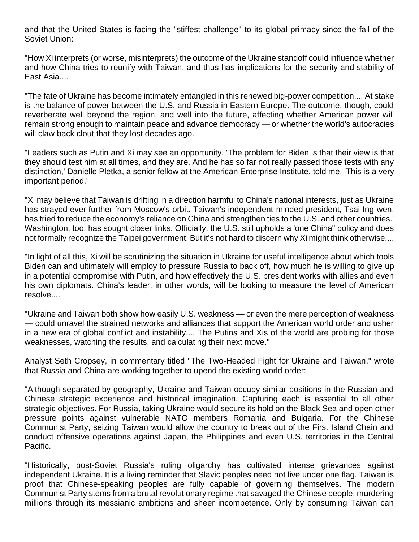and that the United States is facing the "stiffest challenge" to its global primacy since the fall of the Soviet Union:

"How Xi interprets (or worse, misinterprets) the outcome of the Ukraine standoff could influence whether and how China tries to reunify with Taiwan, and thus has implications for the security and stability of East Asia....

"The fate of Ukraine has become intimately entangled in this renewed big-power competition.... At stake is the balance of power between the U.S. and Russia in Eastern Europe. The outcome, though, could reverberate well beyond the region, and well into the future, affecting whether American power will remain strong enough to maintain peace and advance democracy — or whether the world's autocracies will claw back clout that they lost decades ago.

"Leaders such as Putin and Xi may see an opportunity. 'The problem for Biden is that their view is that they should test him at all times, and they are. And he has so far not really passed those tests with any distinction,' Danielle Pletka, a senior fellow at the American Enterprise Institute, told me. 'This is a very important period.'

"Xi may believe that Taiwan is drifting in a direction harmful to China's national interests, just as Ukraine has strayed ever further from Moscow's orbit. Taiwan's independent-minded president, Tsai Ing-wen, has tried to reduce the economy's reliance on China and strengthen ties to the U.S. and other countries.' Washington, too, has sought closer links. Officially, the U.S. still upholds a 'one China" policy and does not formally recognize the Taipei government. But it's not hard to discern why Xi might think otherwise....

"In light of all this, Xi will be scrutinizing the situation in Ukraine for useful intelligence about which tools Biden can and ultimately will employ to pressure Russia to back off, how much he is willing to give up in a potential compromise with Putin, and how effectively the U.S. president works with allies and even his own diplomats. China's leader, in other words, will be looking to measure the level of American resolve....

"Ukraine and Taiwan both show how easily U.S. weakness — or even the mere perception of weakness — could unravel the strained networks and alliances that support the American world order and usher in a new era of global conflict and instability.... The Putins and Xis of the world are probing for those weaknesses, watching the results, and calculating their next move."

Analyst Seth Cropsey, in commentary titled ["The Two-Headed Fight for Ukraine and Taiwan,](https://www.wsj.com/articles/the-two-headed-fight-ukraine-and-taiwan-china-russia-putin-nato-biden-us-fronts-invasion-11641308211)" wrote that Russia and China are working together to upend the existing world order:

"Although separated by geography, Ukraine and Taiwan occupy similar positions in the Russian and Chinese strategic experience and historical imagination. Capturing each is essential to all other strategic objectives. For Russia, taking Ukraine would secure its hold on the Black Sea and open other pressure points against vulnerable NATO members Romania and Bulgaria. For the Chinese Communist Party, seizing Taiwan would allow the country to break out of the First Island Chain and conduct offensive operations against Japan, the Philippines and even U.S. territories in the Central Pacific.

"Historically, post-Soviet Russia's ruling oligarchy has cultivated intense grievances against independent Ukraine. It is a living reminder that Slavic peoples need not live under one flag. Taiwan is proof that Chinese-speaking peoples are fully capable of governing themselves. The modern Communist Party stems from a brutal revolutionary regime that savaged the Chinese people, murdering millions through its messianic ambitions and sheer incompetence. Only by consuming Taiwan can